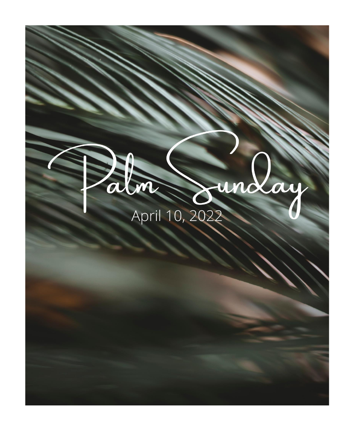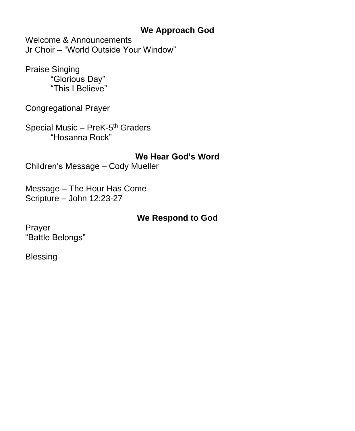### **We Approach God**

Welcome & Announcements Jr Choir – "World Outside Your Window"

Praise Singing "Glorious Day" "This I Believe"

Congregational Prayer

Special Music – PreK-5<sup>th</sup> Graders "Hosanna Rock"

**We Hear God's Word** Children's Message – Cody Mueller

Message – The Hour Has Come Scripture – John 12:23-27

## **We Respond to God**

Prayer "Battle Belongs"

Blessing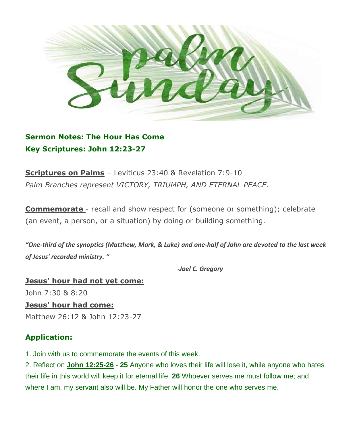

**Sermon Notes: The Hour Has Come Key Scriptures: John 12:23-27**

**Scriptures on Palms** – Leviticus 23:40 & Revelation 7:9-10 *Palm Branches represent VICTORY, TRIUMPH, AND ETERNAL PEACE.*

**Commemorate** - recall and show respect for (someone or something); celebrate (an event, a person, or a situation) by doing or building something.

"One-third of the synoptics (Matthew, Mark, & Luke) and one-half of John are devoted to the last week *of Jesus' recorded ministry. "*

*-Joel C. Gregory*

**Jesus' hour had not yet come:** John 7:30 & 8:20 **Jesus' hour had come:**

Matthew 26:12 & John 12:23-27

### **Application:**

1. Join with us to commemorate the events of this week.

2. Reflect on **John 12:25-26** - **25** Anyone who loves their life will lose it, while anyone who hates their life in this world will keep it for eternal life. **26** Whoever serves me must follow me; and where I am, my servant also will be. My Father will honor the one who serves me.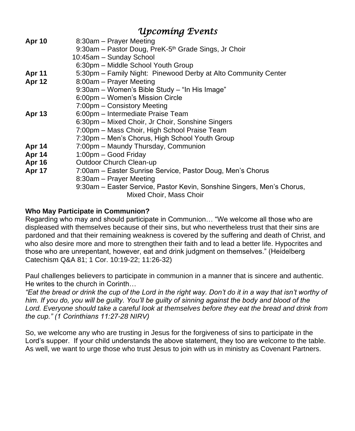## *Upcoming Events*

| <b>Apr 10</b> | 8:30am – Prayer Meeting                                                |
|---------------|------------------------------------------------------------------------|
|               | 9:30am - Pastor Doug, PreK-5 <sup>th</sup> Grade Sings, Jr Choir       |
|               | 10:45am - Sunday School                                                |
|               | 6:30pm – Middle School Youth Group                                     |
| <b>Apr 11</b> | 5:30pm - Family Night: Pinewood Derby at Alto Community Center         |
| Apr 12        | 8:00am - Prayer Meeting                                                |
|               | 9:30am - Women's Bible Study - "In His Image"                          |
|               | 6:00pm - Women's Mission Circle                                        |
|               | 7:00pm – Consistory Meeting                                            |
| <b>Apr 13</b> | 6:00pm – Intermediate Praise Team                                      |
|               | 6:30pm – Mixed Choir, Jr Choir, Sonshine Singers                       |
|               | 7:00pm - Mass Choir, High School Praise Team                           |
|               | 7:30pm - Men's Chorus, High School Youth Group                         |
| Apr 14        | 7:00pm – Maundy Thursday, Communion                                    |
| Apr 14        | 1:00pm - Good Friday                                                   |
| <b>Apr 16</b> | Outdoor Church Clean-up                                                |
| <b>Apr 17</b> | 7:00am – Easter Sunrise Service, Pastor Doug, Men's Chorus             |
|               | 8:30am – Prayer Meeting                                                |
|               | 9:30am – Easter Service, Pastor Kevin, Sonshine Singers, Men's Chorus, |
|               | Mixed Choir, Mass Choir                                                |
|               |                                                                        |

#### **Who May Participate in Communion?**

Regarding who may and should participate in Communion… "We welcome all those who are displeased with themselves because of their sins, but who nevertheless trust that their sins are pardoned and that their remaining weakness is covered by the suffering and death of Christ, and who also desire more and more to strengthen their faith and to lead a better life. Hypocrites and those who are unrepentant, however, eat and drink judgment on themselves." (Heidelberg Catechism Q&A 81; 1 Cor. 10:19-22; 11:26-32)

Paul challenges believers to participate in communion in a manner that is sincere and authentic. He writes to the church in Corinth…

*"Eat the bread or drink the cup of the Lord in the right way. Don't do it in a way that isn't worthy of him. If you do, you will be guilty. You'll be guilty of sinning against the body and blood of the Lord. Everyone should take a careful look at themselves before they eat the bread and drink from the cup." (1 Corinthians 11:27-28 NIRV)*

So, we welcome any who are trusting in Jesus for the forgiveness of sins to participate in the Lord's supper. If your child understands the above statement, they too are welcome to the table. As well, we want to urge those who trust Jesus to join with us in ministry as Covenant Partners.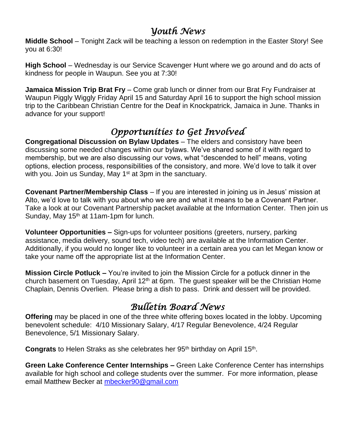## *Youth News*

**Middle School** – Tonight Zack will be teaching a lesson on redemption in the Easter Story! See you at 6:30!

**High School** – Wednesday is our Service Scavenger Hunt where we go around and do acts of kindness for people in Waupun. See you at 7:30!

**Jamaica Mission Trip Brat Fry** – Come grab lunch or dinner from our Brat Fry Fundraiser at Waupun Piggly Wiggly Friday April 15 and Saturday April 16 to support the high school mission trip to the Caribbean Christian Centre for the Deaf in Knockpatrick, Jamaica in June. Thanks in advance for your support!

# *Opportunities to Get Involved*

**Congregational Discussion on Bylaw Updates** – The elders and consistory have been discussing some needed changes within our bylaws. We've shared some of it with regard to membership, but we are also discussing our vows, what "descended to hell" means, voting options, election process, responsibilities of the consistory, and more. We'd love to talk it over with you. Join us Sunday, May 1<sup>st</sup> at 3pm in the sanctuary.

**Covenant Partner/Membership Class** – If you are interested in joining us in Jesus' mission at Alto, we'd love to talk with you about who we are and what it means to be a Covenant Partner. Take a look at our Covenant Partnership packet available at the Information Center. Then join us Sunday, May  $15<sup>th</sup>$  at 11am-1pm for lunch.

**Volunteer Opportunities –** Sign-ups for volunteer positions (greeters, nursery, parking assistance, media delivery, sound tech, video tech) are available at the Information Center. Additionally, if you would no longer like to volunteer in a certain area you can let Megan know or take your name off the appropriate list at the Information Center.

**Mission Circle Potluck –** You're invited to join the Mission Circle for a potluck dinner in the church basement on Tuesday, April  $12<sup>th</sup>$  at 6pm. The quest speaker will be the Christian Home Chaplain, Dennis Overlien. Please bring a dish to pass. Drink and dessert will be provided.

## *Bulletin Board News*

**Offering** may be placed in one of the three white offering boxes located in the lobby. Upcoming benevolent schedule: 4/10 Missionary Salary, 4/17 Regular Benevolence, 4/24 Regular Benevolence, 5/1 Missionary Salary.

Congrats to Helen Straks as she celebrates her 95<sup>th</sup> birthday on April 15<sup>th</sup>.

**Green Lake Conference Center Internships –** Green Lake Conference Center has internships available for high school and college students over the summer. For more information, please email Matthew Becker at [mbecker90@gmail.com](mailto:mbecker90@gmail.com)